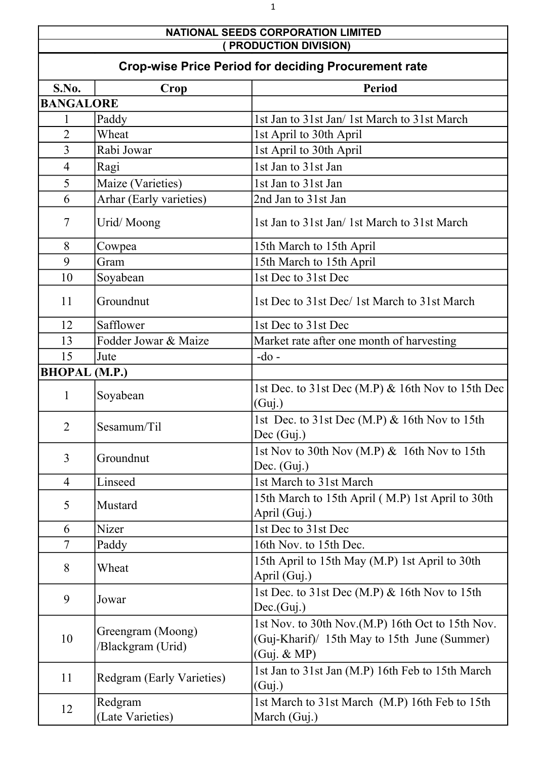## NATIONAL SEEDS CORPORATION LIMITED ( PRODUCTION DIVISION)

| <b>Crop-wise Price Period for deciding Procurement rate</b> |                                        |                                                                                                                 |
|-------------------------------------------------------------|----------------------------------------|-----------------------------------------------------------------------------------------------------------------|
| S.No.                                                       | Crop                                   | <b>Period</b>                                                                                                   |
| <b>BANGALORE</b>                                            |                                        |                                                                                                                 |
| 1                                                           | Paddy                                  | 1st Jan to 31st Jan/ 1st March to 31st March                                                                    |
| $\overline{2}$                                              | Wheat                                  | 1st April to 30th April                                                                                         |
| 3                                                           | Rabi Jowar                             | 1st April to 30th April                                                                                         |
| $\overline{4}$                                              | Ragi                                   | 1st Jan to 31st Jan                                                                                             |
| 5                                                           | Maize (Varieties)                      | 1st Jan to 31st Jan                                                                                             |
| 6                                                           | Arhar (Early varieties)                | 2nd Jan to 31st Jan                                                                                             |
| 7                                                           | Urid/Moong                             | 1st Jan to 31st Jan/1st March to 31st March                                                                     |
| 8                                                           | Cowpea                                 | 15th March to 15th April                                                                                        |
| 9                                                           | Gram                                   | 15th March to 15th April                                                                                        |
| 10                                                          | Soyabean                               | 1st Dec to 31st Dec                                                                                             |
| 11                                                          | Groundnut                              | 1st Dec to 31st Dec/1st March to 31st March                                                                     |
| 12                                                          | Safflower                              | 1st Dec to 31st Dec                                                                                             |
| 13                                                          | Fodder Jowar & Maize                   | Market rate after one month of harvesting                                                                       |
| 15                                                          | Jute                                   | $-do$ -                                                                                                         |
| <b>BHOPAL</b> (M.P.)                                        |                                        |                                                                                                                 |
| $\mathbf{1}$                                                | Soyabean                               | 1st Dec. to 31st Dec (M.P) & 16th Nov to 15th Dec<br>(Guj.)                                                     |
| $\overline{2}$                                              | Sesamum/Til                            | 1st Dec. to 31st Dec (M.P) & 16th Nov to 15th<br>Dec (Guj.)                                                     |
| 3                                                           | Groundnut                              | 1st Nov to 30th Nov (M.P) & 16th Nov to 15th<br>Dec. $(Guj.)$                                                   |
| $\overline{4}$                                              | Linseed                                | 1st March to 31st March                                                                                         |
| 5                                                           | Mustard                                | 15th March to 15th April (M.P) 1st April to 30th<br>April (Guj.)                                                |
| 6                                                           | Nizer                                  | 1st Dec to 31st Dec                                                                                             |
| 7                                                           | Paddy                                  | 16th Nov. to 15th Dec.                                                                                          |
| 8                                                           | Wheat                                  | 15th April to 15th May (M.P) 1st April to 30th<br>April (Guj.)                                                  |
| 9                                                           | Jowar                                  | 1st Dec. to $31st$ Dec (M.P) & 16th Nov to 15th<br>Dec(Guj.)                                                    |
| 10                                                          | Greengram (Moong)<br>/Blackgram (Urid) | 1st Nov. to 30th Nov.(M.P) 16th Oct to 15th Nov.<br>(Guj-Kharif)/ 15th May to 15th June (Summer)<br>(Guj. & MP) |
| 11                                                          | <b>Redgram (Early Varieties)</b>       | 1st Jan to 31st Jan (M.P) 16th Feb to 15th March<br>(Guj.)                                                      |
| 12                                                          | Redgram<br>(Late Varieties)            | 1st March to 31st March (M.P) 16th Feb to 15th<br>March (Guj.)                                                  |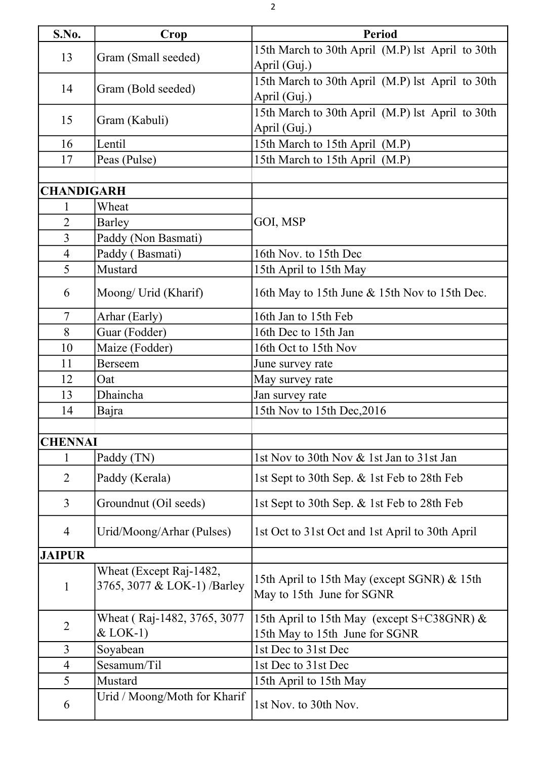| S.No.             | Crop                                                   | <b>Period</b>                                                                |
|-------------------|--------------------------------------------------------|------------------------------------------------------------------------------|
| 13                | Gram (Small seeded)                                    | 15th March to 30th April (M.P) lst April to 30th                             |
|                   |                                                        | April (Guj.)                                                                 |
| 14                |                                                        | 15th March to 30th April (M.P) lst April to 30th                             |
|                   | Gram (Bold seeded)                                     | April (Guj.)                                                                 |
|                   |                                                        | 15th March to 30th April (M.P) lst April to 30th                             |
| 15                | Gram (Kabuli)                                          | April (Guj.)                                                                 |
| 16                | Lentil                                                 | 15th March to 15th April (M.P)                                               |
| 17                | Peas (Pulse)                                           | 15th March to 15th April (M.P)                                               |
|                   |                                                        |                                                                              |
| <b>CHANDIGARH</b> |                                                        |                                                                              |
| 1                 | Wheat                                                  |                                                                              |
| $\overline{2}$    | <b>Barley</b>                                          | GOI, MSP                                                                     |
| $\overline{3}$    | Paddy (Non Basmati)                                    |                                                                              |
| $\overline{4}$    | Paddy (Basmati)                                        | 16th Nov. to 15th Dec                                                        |
| 5                 | Mustard                                                | 15th April to 15th May                                                       |
| 6                 | Moong/ Urid (Kharif)                                   | 16th May to 15th June & 15th Nov to 15th Dec.                                |
| $\overline{7}$    | Arhar (Early)                                          | 16th Jan to 15th Feb                                                         |
| 8                 | Guar (Fodder)                                          | 16th Dec to 15th Jan                                                         |
| 10                | Maize (Fodder)                                         | 16th Oct to 15th Nov                                                         |
| 11                | Berseem                                                | June survey rate                                                             |
| 12                | Oat                                                    | May survey rate                                                              |
| 13                | Dhaincha                                               | Jan survey rate                                                              |
| 14                | Bajra                                                  | 15th Nov to 15th Dec, 2016                                                   |
|                   |                                                        |                                                                              |
| <b>CHENNAI</b>    |                                                        |                                                                              |
| 1                 | Paddy (TN)                                             | 1st Nov to 30th Nov & 1st Jan to 31st Jan                                    |
| $\overline{2}$    | Paddy (Kerala)                                         | 1st Sept to 30th Sep. & 1st Feb to 28th Feb                                  |
| $\overline{3}$    | Groundnut (Oil seeds)                                  | 1st Sept to 30th Sep. & 1st Feb to 28th Feb                                  |
| 4                 | Urid/Moong/Arhar (Pulses)                              | 1st Oct to 31st Oct and 1st April to 30th April                              |
| <b>JAIPUR</b>     |                                                        |                                                                              |
| $\mathbf{1}$      | Wheat (Except Raj-1482,<br>3765, 3077 & LOK-1) /Barley | 15th April to 15th May (except SGNR) & 15th<br>May to 15th June for SGNR     |
| $\overline{2}$    | Wheat (Raj-1482, 3765, 3077<br>$&$ LOK-1)              | 15th April to 15th May (except S+C38GNR) &<br>15th May to 15th June for SGNR |
| $\overline{3}$    | Soyabean                                               | 1st Dec to 31st Dec                                                          |
| $\overline{4}$    | Sesamum/Til                                            | 1st Dec to 31st Dec                                                          |
| 5                 | Mustard                                                | 15th April to 15th May                                                       |
| 6                 | Urid / Moong/Moth for Kharif                           | 1st Nov. to 30th Nov.                                                        |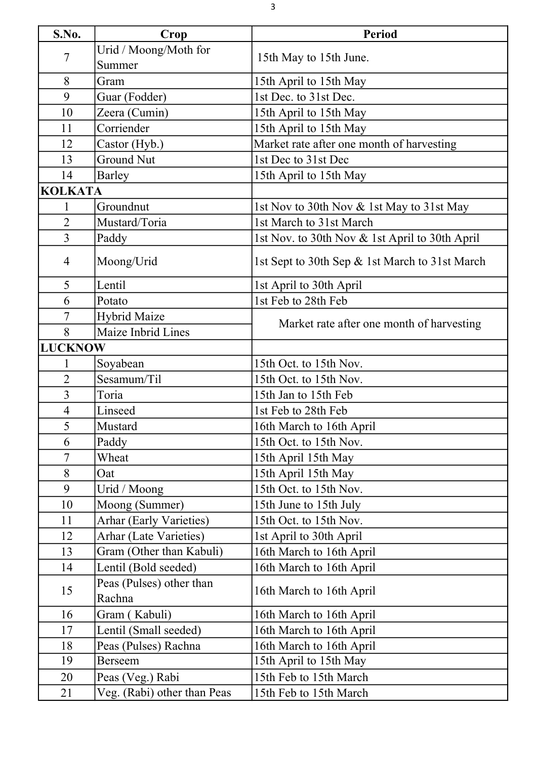| S.No.          | Crop                               | <b>Period</b>                                  |
|----------------|------------------------------------|------------------------------------------------|
| 7              | Urid / Moong/Moth for              |                                                |
|                | Summer                             | 15th May to 15th June.                         |
| 8              | Gram                               | 15th April to 15th May                         |
| 9              | Guar (Fodder)                      | 1st Dec. to 31st Dec.                          |
| 10             | Zeera (Cumin)                      | 15th April to 15th May                         |
| 11             | Corriender                         | 15th April to 15th May                         |
| 12             | Castor (Hyb.)                      | Market rate after one month of harvesting      |
| 13             | <b>Ground Nut</b>                  | 1st Dec to 31st Dec                            |
| 14             | <b>Barley</b>                      | 15th April to 15th May                         |
| <b>KOLKATA</b> |                                    |                                                |
| 1              | Groundnut                          | 1st Nov to 30th Nov & 1st May to 31st May      |
| $\overline{2}$ | Mustard/Toria                      | 1st March to 31st March                        |
| $\overline{3}$ | Paddy                              | 1st Nov. to 30th Nov & 1st April to 30th April |
| 4              | Moong/Urid                         | 1st Sept to 30th Sep & 1st March to 31st March |
| 5              | Lentil                             | 1st April to 30th April                        |
| 6              | Potato                             | 1st Feb to 28th Feb                            |
| 7              | <b>Hybrid Maize</b>                |                                                |
| 8              | Maize Inbrid Lines                 | Market rate after one month of harvesting      |
| <b>LUCKNOW</b> |                                    |                                                |
| 1              | Soyabean                           | 15th Oct. to 15th Nov.                         |
| $\overline{2}$ | Sesamum/Til                        | 15th Oct. to 15th Nov.                         |
| 3              | Toria                              | 15th Jan to 15th Feb                           |
| 4              | Linseed                            | 1st Feb to 28th Feb                            |
| 5              | Mustard                            | 16th March to 16th April                       |
| 6              | Paddy                              | 15th Oct. to 15th Nov.                         |
| $\overline{7}$ | Wheat                              | 15th April 15th May                            |
| 8              | Oat                                | 15th April 15th May                            |
| 9              | Urid / Moong                       | 15th Oct. to 15th Nov.                         |
| 10             | Moong (Summer)                     | 15th June to 15th July                         |
| 11             | <b>Arhar (Early Varieties)</b>     | 15th Oct. to 15th Nov.                         |
| 12             | <b>Arhar (Late Varieties)</b>      | 1st April to 30th April                        |
| 13             | Gram (Other than Kabuli)           | 16th March to 16th April                       |
| 14             | Lentil (Bold seeded)               | 16th March to 16th April                       |
| 15             | Peas (Pulses) other than<br>Rachna | 16th March to 16th April                       |
| 16             | Gram (Kabuli)                      | 16th March to 16th April                       |
| 17             | Lentil (Small seeded)              | 16th March to 16th April                       |
| 18             | Peas (Pulses) Rachna               | 16th March to 16th April                       |
| 19             | Berseem                            | 15th April to 15th May                         |
| 20             | Peas (Veg.) Rabi                   | 15th Feb to 15th March                         |
| 21             | Veg. (Rabi) other than Peas        | 15th Feb to 15th March                         |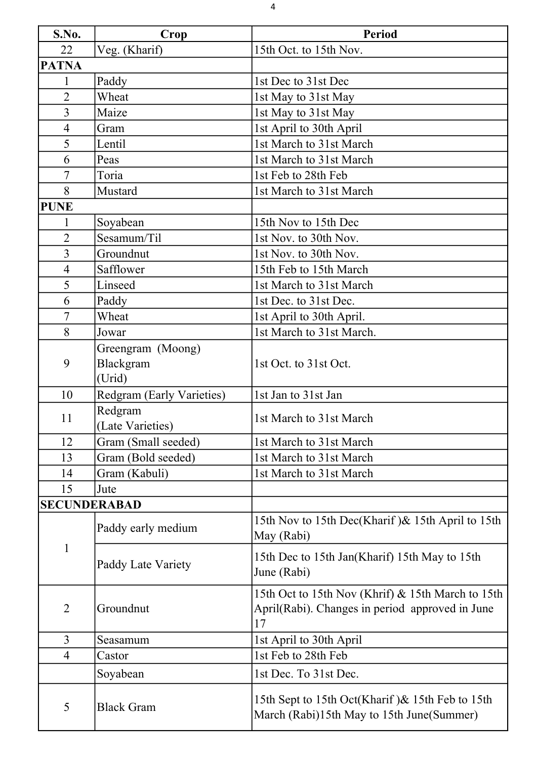| S.No.          | Crop                                     | <b>Period</b>                                                                                              |
|----------------|------------------------------------------|------------------------------------------------------------------------------------------------------------|
| 22             | Veg. (Kharif)                            | 15th Oct. to 15th Nov.                                                                                     |
| <b>PATNA</b>   |                                          |                                                                                                            |
| 1              | Paddy                                    | 1st Dec to 31st Dec                                                                                        |
| $\overline{2}$ | Wheat                                    | 1st May to 31st May                                                                                        |
| $\overline{3}$ | Maize                                    | 1st May to 31st May                                                                                        |
| $\overline{4}$ | Gram                                     | 1st April to 30th April                                                                                    |
| 5              | Lentil                                   | 1st March to 31st March                                                                                    |
| 6              | Peas                                     | 1st March to 31st March                                                                                    |
| 7              | Toria                                    | 1st Feb to 28th Feb                                                                                        |
| 8              | Mustard                                  | 1st March to 31st March                                                                                    |
| <b>PUNE</b>    |                                          |                                                                                                            |
| 1              | Soyabean                                 | 15th Nov to 15th Dec                                                                                       |
| $\overline{2}$ | Sesamum/Til                              | 1st Nov. to 30th Nov.                                                                                      |
| $\overline{3}$ | Groundnut                                | 1st Nov. to 30th Nov.                                                                                      |
| $\overline{4}$ | Safflower                                | 15th Feb to 15th March                                                                                     |
| 5              | Linseed                                  | 1st March to 31st March                                                                                    |
| 6              | Paddy                                    | 1st Dec. to 31st Dec.                                                                                      |
| $\tau$         | Wheat                                    | 1st April to 30th April.                                                                                   |
| 8              | Jowar                                    | 1st March to 31st March.                                                                                   |
| 9              | Greengram (Moong)<br>Blackgram<br>(Urid) | 1st Oct. to 31st Oct.                                                                                      |
| 10             | Redgram (Early Varieties)                | 1st Jan to 31st Jan                                                                                        |
| 11             | Redgram<br>(Late Varieties)              | 1st March to 31st March                                                                                    |
| 12             | Gram (Small seeded)                      | 1st March to 31st March                                                                                    |
| 13             | Gram (Bold seeded)                       | 1st March to 31st March                                                                                    |
| 14             | Gram (Kabuli)                            | 1st March to 31st March                                                                                    |
| 15             | Jute                                     |                                                                                                            |
|                | <b>SECUNDERABAD</b>                      |                                                                                                            |
| 1              | Paddy early medium                       | 15th Nov to 15th Dec(Kharif) & 15th April to 15th<br>May (Rabi)                                            |
|                | Paddy Late Variety                       | 15th Dec to 15th Jan(Kharif) 15th May to 15th<br>June (Rabi)                                               |
| $\overline{2}$ | Groundnut                                | 15th Oct to 15th Nov (Khrif) & 15th March to 15th<br>April(Rabi). Changes in period approved in June<br>17 |
| $\overline{3}$ | Seasamum                                 | 1st April to 30th April                                                                                    |
| $\overline{4}$ | Castor                                   | 1st Feb to 28th Feb                                                                                        |
|                | Soyabean                                 | 1st Dec. To 31st Dec.                                                                                      |
| 5              | <b>Black Gram</b>                        | 15th Sept to 15th Oct(Kharif) & 15th Feb to 15th<br>March (Rabi)15th May to 15th June(Summer)              |